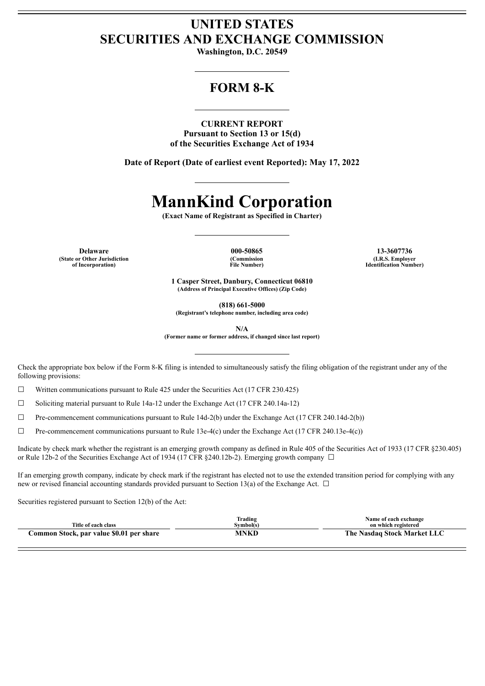## **UNITED STATES SECURITIES AND EXCHANGE COMMISSION**

**Washington, D.C. 20549**

### **FORM 8-K**

**CURRENT REPORT Pursuant to Section 13 or 15(d) of the Securities Exchange Act of 1934**

**Date of Report (Date of earliest event Reported): May 17, 2022**

# **MannKind Corporation**

**(Exact Name of Registrant as Specified in Charter)**

**Delaware 000-50865 13-3607736 (State or Other Jurisdiction of Incorporation)**

**(Commission File Number)**

**(I.R.S. Employer Identification Number)**

**1 Casper Street, Danbury, Connecticut 06810 (Address of Principal Executive Offices) (Zip Code)**

**(818) 661-5000**

**(Registrant's telephone number, including area code)**

**N/A**

**(Former name or former address, if changed since last report)**

Check the appropriate box below if the Form 8-K filing is intended to simultaneously satisfy the filing obligation of the registrant under any of the following provisions:

 $\Box$  Written communications pursuant to Rule 425 under the Securities Act (17 CFR 230.425)

 $\Box$  Soliciting material pursuant to Rule 14a-12 under the Exchange Act (17 CFR 240.14a-12)

 $\Box$  Pre-commencement communications pursuant to Rule 14d-2(b) under the Exchange Act (17 CFR 240.14d-2(b))

 $\Box$  Pre-commencement communications pursuant to Rule 13e-4(c) under the Exchange Act (17 CFR 240.13e-4(c))

Indicate by check mark whether the registrant is an emerging growth company as defined in Rule 405 of the Securities Act of 1933 (17 CFR §230.405) or Rule 12b-2 of the Securities Exchange Act of 1934 (17 CFR §240.12b-2). Emerging growth company □

If an emerging growth company, indicate by check mark if the registrant has elected not to use the extended transition period for complying with any new or revised financial accounting standards provided pursuant to Section 13(a) of the Exchange Act.  $\Box$ 

Securities registered pursuant to Section 12(b) of the Act:

| Title of each class                      | Trading<br>Svmbol(s) | Name of each exchange<br>on which registered |
|------------------------------------------|----------------------|----------------------------------------------|
| Common Stock, par value \$0.01 per share | MNKD                 | The Nasdaq Stock Market LLC                  |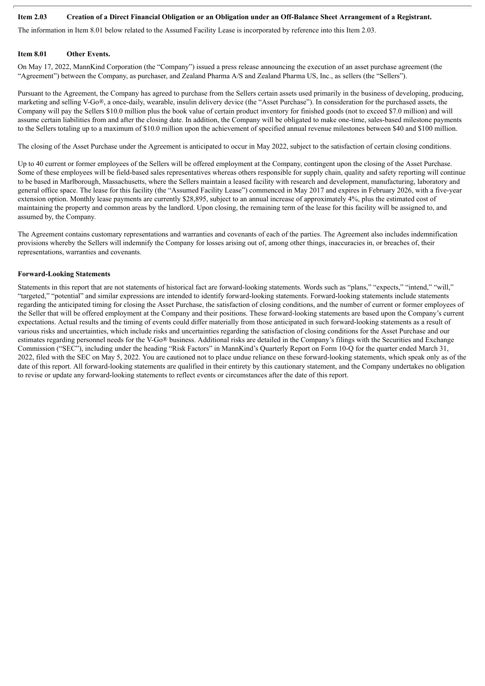#### Item 2.03 Creation of a Direct Financial Obligation or an Obligation under an Off-Balance Sheet Arrangement of a Registrant.

The information in Item 8.01 below related to the Assumed Facility Lease is incorporated by reference into this Item 2.03.

#### **Item 8.01 Other Events.**

On May 17, 2022, MannKind Corporation (the "Company") issued a press release announcing the execution of an asset purchase agreement (the "Agreement") between the Company, as purchaser, and Zealand Pharma A/S and Zealand Pharma US, Inc., as sellers (the "Sellers").

Pursuant to the Agreement, the Company has agreed to purchase from the Sellers certain assets used primarily in the business of developing, producing, marketing and selling V-Go®, a once-daily, wearable, insulin delivery device (the "Asset Purchase"). In consideration for the purchased assets, the Company will pay the Sellers \$10.0 million plus the book value of certain product inventory for finished goods (not to exceed \$7.0 million) and will assume certain liabilities from and after the closing date. In addition, the Company will be obligated to make one-time, sales-based milestone payments to the Sellers totaling up to a maximum of \$10.0 million upon the achievement of specified annual revenue milestones between \$40 and \$100 million.

The closing of the Asset Purchase under the Agreement is anticipated to occur in May 2022, subject to the satisfaction of certain closing conditions.

Up to 40 current or former employees of the Sellers will be offered employment at the Company, contingent upon the closing of the Asset Purchase. Some of these employees will be field-based sales representatives whereas others responsible for supply chain, quality and safety reporting will continue to be based in Marlborough, Massachusetts, where the Sellers maintain a leased facility with research and development, manufacturing, laboratory and general office space. The lease for this facility (the "Assumed Facility Lease") commenced in May 2017 and expires in February 2026, with a five-year extension option. Monthly lease payments are currently \$28,895, subject to an annual increase of approximately 4%, plus the estimated cost of maintaining the property and common areas by the landlord. Upon closing, the remaining term of the lease for this facility will be assigned to, and assumed by, the Company.

The Agreement contains customary representations and warranties and covenants of each of the parties. The Agreement also includes indemnification provisions whereby the Sellers will indemnify the Company for losses arising out of, among other things, inaccuracies in, or breaches of, their representations, warranties and covenants.

#### **Forward-Looking Statements**

Statements in this report that are not statements of historical fact are forward-looking statements. Words such as "plans," "expects," "intend," "will," "targeted," "potential" and similar expressions are intended to identify forward-looking statements. Forward-looking statements include statements regarding the anticipated timing for closing the Asset Purchase, the satisfaction of closing conditions, and the number of current or former employees of the Seller that will be offered employment at the Company and their positions. These forward-looking statements are based upon the Company's current expectations. Actual results and the timing of events could differ materially from those anticipated in such forward-looking statements as a result of various risks and uncertainties, which include risks and uncertainties regarding the satisfaction of closing conditions for the Asset Purchase and our estimates regarding personnel needs for the V-Go® business. Additional risks are detailed in the Company's filings with the Securities and Exchange Commission ("SEC"), including under the heading "Risk Factors" in MannKind's Quarterly Report on Form 10-Q for the quarter ended March 31, 2022, filed with the SEC on May 5, 2022. You are cautioned not to place undue reliance on these forward-looking statements, which speak only as of the date of this report. All forward-looking statements are qualified in their entirety by this cautionary statement, and the Company undertakes no obligation to revise or update any forward-looking statements to reflect events or circumstances after the date of this report.